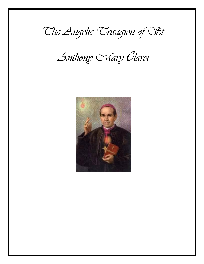

*Anthony Mary claret*

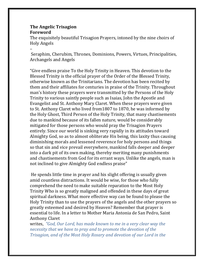#### **The Angelic Trisagion Foreword**

–

The exquisitely beautiful Trisagion Prayers, intoned by the nine choirs of Holy Angels

Seraphim, Cherubim, Thrones, Dominions, Powers, Virtues, Principalities, Archangels and Angels

"Give endless praise To the Holy Trinity in Heaven. This devotion to the Blessed Trinity is the official prayer of the Order of the Blessed Trinity, otherwise known as the Trinitarians. The devotion has been recited by them and their affiliates for centuries in praise of the Trinity. Throughout man's history these prayers were transmitted by the Persons of the Holy Trinity to various saintly people such as Isaias, John the Apostle and Evangelist and St. Anthony Mary Claret. When these prayers were given to St. Anthony Claret who lived from1807 to 1870, he was informed by the Holy Ghost, Third Person of the Holy Trinity, that many chastisements due to mankind because of its fallen nature, would be considerably mitigated for those persons who would pray the Trisagion Prayers entirely. Since our world is sinking very rapidly in its attitudes toward Almighty God, so as to almost obliterate His being, this laxity thus causing diminishing morals and lessened reverence for holy persons and things so that sin and vice prevail everywhere, mankind falls deeper and deeper into a dark pit of its own making, thereby meriting many punishments and chastisements from God for its errant ways. Unlike the angels, man is not inclined to give Almighty God endless praise"

He spends little time in prayer and his slight offering is usually given amid countless distractions. It would be wise, for those who fully comprehend the need to make suitable reparation to the Most Holy Trinity Who is so greatly maligned and offended in these days of great spiritual darkness. What more effective way can be found to please the Holy Trinity than to use the prayers of the angels and the other prayers so greatly esteemed and desired by Heaven? Remember that prayer is essential to life. In a letter to Mother Maria Antonia de San Pedro, Saint Anthony Claret

writes, *"God, Our Lord, has made known to me in a very clear way the necessity that we have to pray and to promote the devotion of the Trisagion, and of the Most Holy Rosary and devotion of our Lord in the*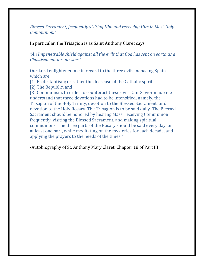*Blessed Sacrament, frequently visiting Him and receiving Him in Most Holy Communion."*

In particular, the Trisagion is as Saint Anthony Claret says*,*

*"An Impenetrable shield against all the evils that God has sent on earth as a Chastisement for our sins."*

Our Lord enlightened me in regard to the three evils menacing Spain, which are:

[1] Protestantism; or rather the decrease of the Catholic spirit

[2] The Republic, and

[3] Communism. In order to counteract these evils, Our Savior made me understand that three devotions had to be intensified, namely, the Trisagion of the Holy Trinity, devotion to the Blessed Sacrament, and devotion to the Holy Rosary. The Trisagion is to be said daily. The Blessed Sacrament should be honored by hearing Mass, receiving Communion frequently, visiting the Blessed Sacrament, and making spiritual communions. The three parts of the Rosary should be said every day, or at least one part, while meditating on the mysteries for each decade, and applying the prayers to the needs of the times."

-Autobiography of St. Anthony Mary Claret, Chapter 18 of Part III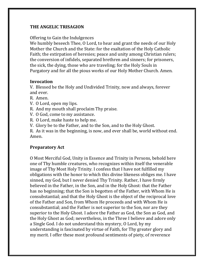#### **THE ANGELIC TRISAGION**

#### Offering to Gain the Indulgences

We humbly beseech Thee, O Lord, to hear and grant the needs of our Holy Mother the Church and the State: for the exaltation of the Holy Catholic Faith; the extirpation of heresies; peace and unity among Christian rulers; the conversion of infidels, separated brethren and sinners; for prisoners, the sick, the dying, those who are traveling; for the Holy Souls in Purgatory and for all the pious works of our Holy Mother Church. Amen.

#### **Invocation**

V. Blessed be the Holy and Undivided Trinity, now and always, forever and ever.

- R. Amen.
- V. O Lord, open my lips.
- R. And my mouth shall proclaim Thy praise.
- V. O God, come to my assistance.
- R. O Lord, make haste to help me.
- V. Glory be to the Father, and to the Son, and to the Holy Ghost.

R. As it was in the beginning, is now, and ever shall be, world without end. Amen.

#### **Preparatory Act**

O Most Merciful God, Unity in Essence and Trinity in Persons, behold here one of Thy humble creatures, who recognizes within itself the venerable image of Thy Most Holy Trinity. I confess that I have not fulfilled my obligations with the honor to which this divine likeness obliges me. I have sinned, my God, but I never denied Thy Trinity. Rather, I have firmly believed in the Father, in the Son, and in the Holy Ghost: that the Father has no beginning; that the Son is begotten of the Father, with Whom He is consubstantial; and that the Holy Ghost is the object of the reciprocal love of the Father and Son, from Whom He proceeds and with Whom He is consubstantial; and the Father is not superior to the Son, nor are they superior to the Holy Ghost. I adore the Father as God, the Son as God, and the Holy Ghost as God; nevertheless, in the Three I believe and adore only a Single God. I do not understand this mystery, O Lord, by my understanding is fascinated by virtue of Faith, for Thy greater glory and my merit. I offer these most profound sentiments of piety, of reverence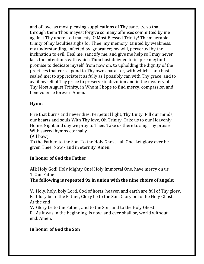and of love, as most pleasing supplications of Thy sanctity, so that through them Thou mayest forgive so many offenses committed by me against Thy uncreated majesty. O Most Blessed Trinity! The miserable trinity of my faculties sighs for Thee: my memory, tainted by weakness; my understanding, infected by ignorance; my will, perverted by the inclination to evil. Heal me, sanctify me, and give me help so I may never lack the intentions with which Thou hast deigned to inspire me; for I promise to dedicate myself, from now on, to upholding the dignity of the practices that correspond to Thy own character, with which Thou hast sealed me; to appreciate it as fully as I possibly can with Thy grace; and to avail myself of Thy grace to preserve in devotion and in the mystery of Thy Most August Trinity, in Whom I hope to find mercy, compassion and benevolence forever. Amen.

#### **Hymn**

Fire that burns and never dies, Perpetual light, Thy Unity; Fill our minds, our hearts and souls With Thy love, Oh Trinity. Take us to our Heavenly Home, Night and day we pray to Thee. Take us there to sing Thy praise With sacred hymns eternally.

(All bow)

To the Father, to the Son, To the Holy Ghost - all One. Let glory ever be given Thee, Now - and in eternity. Amen.

## **In honor of God the Father**

**All**: Holy God! Holy Mighty One! Holy Immortal One, have mercy on us. 1 Our Father

## **The following is repeated 9x in union with the nine choirs of angels:**

**V**. Holy, holy, holy Lord, God of hosts, heaven and earth are full of Thy glory. R. Glory be to the Father, Glory be to the Son, Glory be to the Holy Ghost. At the end:

**V.** Glory be to the Father, and to the Son, and to the Holy Ghost.

R. As it was in the beginning, is now, and ever shall be, world without end. Amen.

## **In honor of God the Son**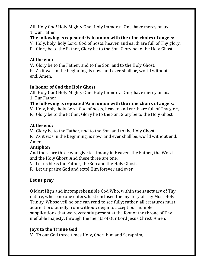All: Holy God! Holy Mighty One! Holy Immortal One, have mercy on us. 1 Our Father

**The following is repeated 9x in union with the nine choirs of angels:** V. Holy, holy, holy Lord, God of hosts, heaven and earth are full of Thy glory. R. Glory be to the Father, Glory be to the Son, Glory be to the Holy Ghost.

#### **At the end:**

**V**. Glory be to the Father, and to the Son, and to the Holy Ghost.

R. As it was in the beginning, is now, and ever shall be, world without end. Amen.

#### **In honor of God the Holy Ghost**

All: Holy God! Holy Mighty One! Holy Immortal One, have mercy on us. 1 Our Father

**The following is repeated 9x in union with the nine choirs of angels**:

V. Holy, holy, holy Lord, God of hosts, heaven and earth are full of Thy glory.

R. Glory be to the Father, Glory be to the Son, Glory be to the Holy Ghost.

#### **At the end:**

**V.** Glory be to the Father, and to the Son, and to the Holy Ghost.

R. As it was in the beginning, is now, and ever shall be, world without end. Amen.

## **Antiphon**

And there are three who give testimony in Heaven, the Father, the Word and the Holy Ghost. And these three are one.

V. Let us bless the Father, the Son and the Holy Ghost.

R. Let us praise God and extol Him forever and ever.

## **Let us pray**

O Most High and incomprehensible God Who, within the sanctuary of Thy nature, where no one enters, hast enclosed the mystery of Thy Most Holy Trinity, Whose veil no one can rend to see fully; rather, all creatures must adore it profoundly from without: deign to accept our humble supplications that we reverently present at the foot of the throne of Thy ineffable majesty, through the merits of Our Lord Jesus Christ. Amen.

## **Joys to the Triune God**

**V**. To our God three times Holy, Cherubim and Seraphim,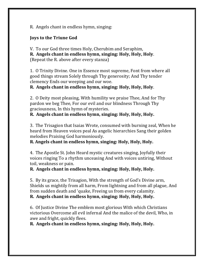R. Angels chant in endless hymn, singing:

#### **Joys to the Triune God**

V. To our God three times Holy, Cherubim and Seraphim, **R. Angels chant in endless hymn, singing: Holy, Holy, Holy**. (Repeat the R. above after every stanza)

1. O Trinity Divine. One in Essence most supreme, Font from where all good things stream Solely through Thy generosity; And Thy tender clemency Ends our weeping and our woe.

**R. Angels chant in endless hymn, singing: Holy, Holy, Holy**.

2. O Deity most pleasing, With humility we praise Thee, And for Thy pardon we beg Thee, For our evil and our blindness Through Thy graciousness, In this hymn of mysteries.

**R. Angels chant in endless hymn, singing: Holy, Holy, Holy.** 

3. The Trisagion that Isaias Wrote, consumed with burning zeal, When he heard from Heaven voices peal As angelic hierarchies Sang their golden melodies Praising God harmoniously.

**R. Angels chant in endless hymn, singing: Holy, Holy, Holy.**

4. The Apostle St. John Heard mystic creatures singing, Joyfully their voices ringing To a rhythm unceasing And with voices untiring, Without toil, weakness or pain.

**R. Angels chant in endless hymn, singing: Holy, Holy, Holy.**

5. By its grace, the Trisagion, With the strength of God's Divine arm, Shields us mightily from all harm, From lightning and from all plague, And from sudden death and 'quake, Freeing us from every calamity.

**R. Angels chant in endless hymn, singing: Holy, Holy, Holy.** 

6. Of Justice Divine The emblem most glorious With which Christians victorious Overcome all evil infernal And the malice of the devil, Who, in awe and fright, quickly flees.

**R. Angels chant in endless hymn, singing: Holy, Holy, Holy.**